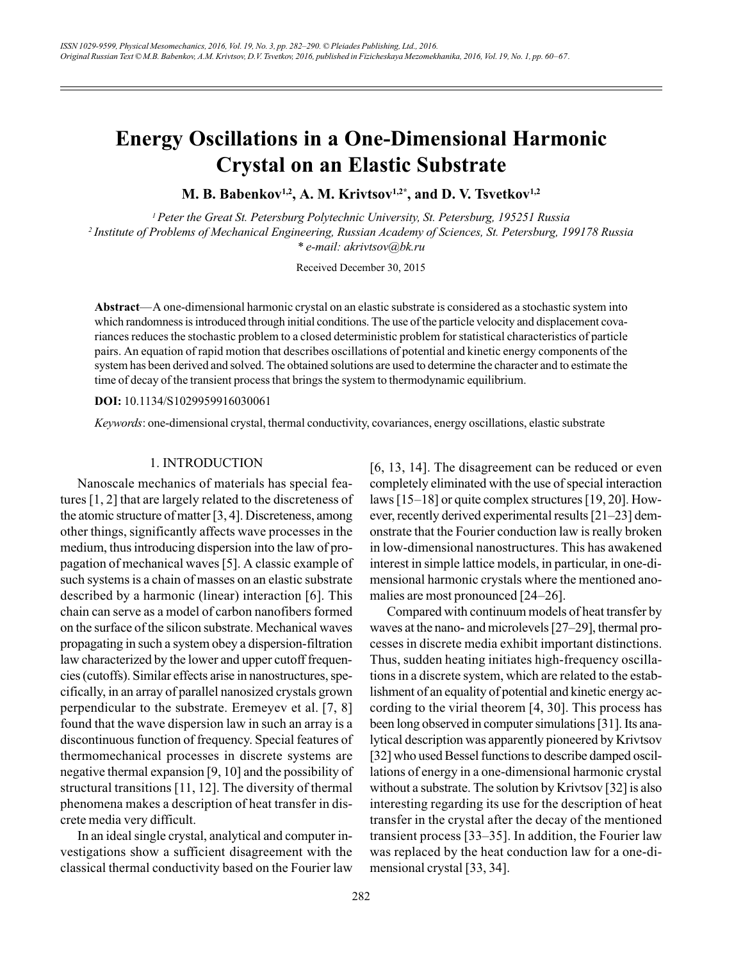# **Energy Oscillations in a One-Dimensional Harmonic Crystal on an Elastic Substrate**

M. B. Babenkov<sup>1,2</sup>, A. M. Krivtsov<sup>1,2\*</sup>, and D. V. Tsvetkov<sup>1,2</sup>

<sup>1</sup> Peter the Great St. Petersburg Polytechnic University, St. Petersburg, 195251 Russia <sup>2</sup> Institute of Problems of Mechanical Engineering, Russian Academy of Sciences, St. Petersburg, 199178 Russia \* e-mail: akrivtsov@bk.ru

Received December 30, 2015

Abstract—A one-dimensional harmonic crystal on an elastic substrate is considered as a stochastic system into which randomness is introduced through initial conditions. The use of the particle velocity and displacement covariances reduces the stochastic problem to a closed deterministic problem for statistical characteristics of particle pairs. An equation of rapid motion that describes oscillations of potential and kinetic energy components of the system has been derived and solved. The obtained solutions are used to determine the character and to estimate the time of decay of the transient process that brings the system to thermodynamic equilibrium.

DOI: 10.1134/S1029959916030061

Keywords: one-dimensional crystal, thermal conductivity, covariances, energy oscillations, elastic substrate

## 1. INTRODUCTION

Nanoscale mechanics of materials has special features  $[1, 2]$  that are largely related to the discreteness of the atomic structure of matter  $[3, 4]$ . Discreteness, among other things, significantly affects wave processes in the medium, thus introducing dispersion into the law of propagation of mechanical waves [5]. A classic example of such systems is a chain of masses on an elastic substrate described by a harmonic (linear) interaction [6]. This chain can serve as a model of carbon nanofibers formed on the surface of the silicon substrate. Mechanical waves propagating in such a system obey a dispersion-filtration law characterized by the lower and upper cutoff frequencies (cutoffs). Similar effects arise in nanostructures, specifically, in an array of parallel nanosized crystals grown perpendicular to the substrate. Eremeyev et al. [7, 8] found that the wave dispersion law in such an array is a discontinuous function of frequency. Special features of thermomechanical processes in discrete systems are negative thermal expansion  $[9, 10]$  and the possibility of structural transitions  $[11, 12]$ . The diversity of thermal phenomena makes a description of heat transfer in discrete media very difficult.

In an ideal single crystal, analytical and computer investigations show a sufficient disagreement with the classical thermal conductivity based on the Fourier law

 $[6, 13, 14]$ . The disagreement can be reduced or even completely eliminated with the use of special interaction laws  $[15-18]$  or quite complex structures  $[19, 20]$ . However, recently derived experimental results [21–23] demonstrate that the Fourier conduction law is really broken in low-dimensional nanostructures. This has awakened interest in simple lattice models, in particular, in one-dimensional harmonic crystals where the mentioned anomalies are most pronounced [24–26].

Compared with continuum models of heat transfer by waves at the nano- and microlevels [27–29], thermal processes in discrete media exhibit important distinctions. Thus, sudden heating initiates high-frequency oscillations in a discrete system, which are related to the establishment of an equality of potential and kinetic energy according to the virial theorem  $[4, 30]$ . This process has been long observed in computer simulations [31]. Its analytical description was apparently pioneered by Krivtsov [32] who used Bessel functions to describe damped oscillations of energy in a one-dimensional harmonic crystal without a substrate. The solution by Krivtsov [32] is also interesting regarding its use for the description of heat transfer in the crystal after the decay of the mentioned transient process [33–35]. In addition, the Fourier law was replaced by the heat conduction law for a one-dimensional crystal [33, 34].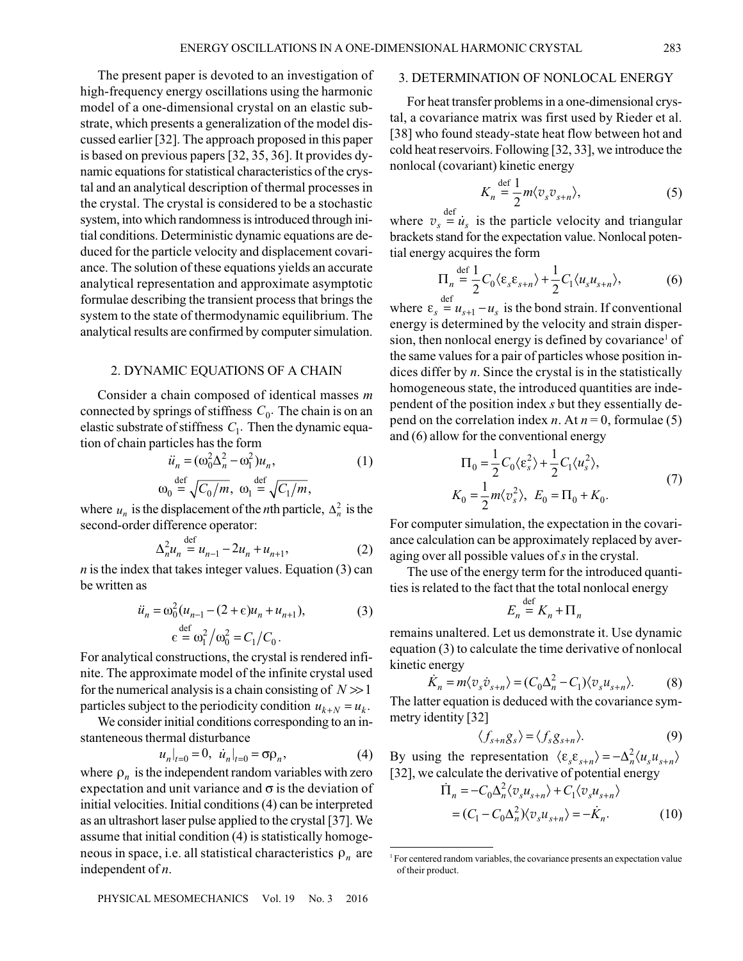The present paper is devoted to an investigation of high-frequency energy oscillations using the harmonic model of a one-dimensional crystal on an elastic substrate, which presents a generalization of the model discussed earlier [32]. The approach proposed in this paper is based on previous papers [32, 35, 36]. It provides dynamic equations for statistical characteristics of the crystal and an analytical description of thermal processes in the crystal. The crystal is considered to be a stochastic system, into which randomness is introduced through initial conditions. Deterministic dynamic equations are deduced for the particle velocity and displacement covariance. The solution of these equations yields an accurate analytical representation and approximate asymptotic formulae describing the transient process that brings the system to the state of thermodynamic equilibrium. The analytical results are confirmed by computer simulation.

#### 2. DYNAMIC EQUATIONS OF A CHAIN

Consider a chain composed of identical masses  $m$ connected by springs of stiffness  $C_0$ . The chain is on an elastic substrate of stiffness  $C_1$ . Then the dynamic equation of chain particles has the form

$$
\ddot{u}_n = (\omega_0^2 \Delta_n^2 - \omega_1^2) u_n,
$$
\n
$$
\text{def} \quad \overline{G_{n-1}} \quad \text{def} \quad (1)
$$

$$
\omega_0 = \sqrt{C_0/m}, \ \omega_1 = \sqrt{C_1/m},
$$

where  $u_n$  is the displacement of the *n*th particle,  $\Delta_n^2$  is the second-order difference operator:

$$
\Delta_n^2 u_n \stackrel{\text{def}}{=} u_{n-1} - 2u_n + u_{n+1},\tag{2}
$$

*n* is the index that takes integer values. Equation  $(3)$  can be written as

$$
\ddot{u}_n = \omega_0^2 (u_{n-1} - (2 + \epsilon)u_n + u_{n+1}),
$$
\n
$$
\epsilon = \omega_1^2 / \omega_0^2 = C_1 / C_0.
$$
\n(3)

For analytical constructions, the crystal is rendered infinite. The approximate model of the infinite crystal used for the numerical analysis is a chain consisting of  $N \gg 1$ particles subject to the periodicity condition  $u_{k+N} = u_k$ .

We consider initial conditions corresponding to an instanteneous thermal disturbance

$$
u_n|_{t=0} = 0, \ \dot{u}_n|_{t=0} = \sigma \rho_n,\tag{4}
$$

where  $\rho_n$  is the independent random variables with zero expectation and unit variance and  $\sigma$  is the deviation of initial velocities. Initial conditions (4) can be interpreted as an ultrashort laser pulse applied to the crystal [37]. We assume that initial condition (4) is statistically homogeneous in space, i.e. all statistical characteristics  $\rho_n$  are independent of  $n$ .

## 3. DETERMINATION OF NONLOCAL ENERGY

For heat transfer problems in a one-dimensional crystal, a covariance matrix was first used by Rieder et al. [38] who found steady-state heat flow between hot and cold heat reservoirs. Following [32, 33], we introduce the nonlocal (covariant) kinetic energy

$$
K_n \stackrel{\text{def}}{=} \frac{1}{2} m \langle v_s v_{s+n} \rangle, \tag{5}
$$

where  $v_s = \dot{u}_s$  is the particle velocity and triangular brackets stand for the expectation value. Nonlocal potential energy acquires the form

$$
\Pi_n \stackrel{\text{def}}{=} \frac{1}{2} C_0 \langle \varepsilon_s \varepsilon_{s+n} \rangle + \frac{1}{2} C_1 \langle u_s u_{s+n} \rangle, \tag{6}
$$

where  $\varepsilon_s \stackrel{\text{def}}{=} u_{s+1} - u_s$  is the bond strain. If conventional energy is determined by the velocity and strain dispersion, then nonlocal energy is defined by covariance<sup>1</sup> of the same values for a pair of particles whose position indices differ by  $n$ . Since the crystal is in the statistically homogeneous state, the introduced quantities are independent of the position index s but they essentially depend on the correlation index *n*. At  $n = 0$ , formulae (5) and (6) allow for the conventional energy

$$
\Pi_0 = \frac{1}{2} C_0 \langle \varepsilon_s^2 \rangle + \frac{1}{2} C_1 \langle u_s^2 \rangle,
$$
  
\n
$$
K_0 = \frac{1}{2} m \langle v_s^2 \rangle, \ E_0 = \Pi_0 + K_0.
$$
\n(7)

For computer simulation, the expectation in the covariance calculation can be approximately replaced by averaging over all possible values of  $s$  in the crystal.

The use of the energy term for the introduced quantities is related to the fact that the total nonlocal energy

$$
E_n \stackrel{\text{def}}{=} K_n + \Pi_n
$$

remains unaltered. Let us demonstrate it. Use dynamic equation (3) to calculate the time derivative of nonlocal kinetic energy

$$
\dot{K}_n = m \langle v_s \dot{v}_{s+n} \rangle = (C_0 \Delta_n^2 - C_1) \langle v_s u_{s+n} \rangle. \tag{8}
$$

The latter equation is deduced with the covariance symmetry identity [32]

$$
\langle f_{s+n}g_s \rangle = \langle f_s g_{s+n} \rangle. \tag{9}
$$

By using the representation  $\langle \varepsilon_{s} \varepsilon_{s+n} \rangle = -\Delta_n^2 \langle u_s u_{s+n} \rangle$ [32], we calculate the derivative of potential energy

$$
\begin{aligned} \n\dot{\Pi}_n &= -C_0 \Delta_n^2 \langle v_s u_{s+n} \rangle + C_1 \langle v_s u_{s+n} \rangle \\ \n&= (C_1 - C_0 \Delta_n^2) \langle v_s u_{s+n} \rangle = -\dot{K}_n. \n\end{aligned} \tag{10}
$$

<sup>&</sup>lt;sup>1</sup> For centered random variables, the covariance presents an expectation value of their product.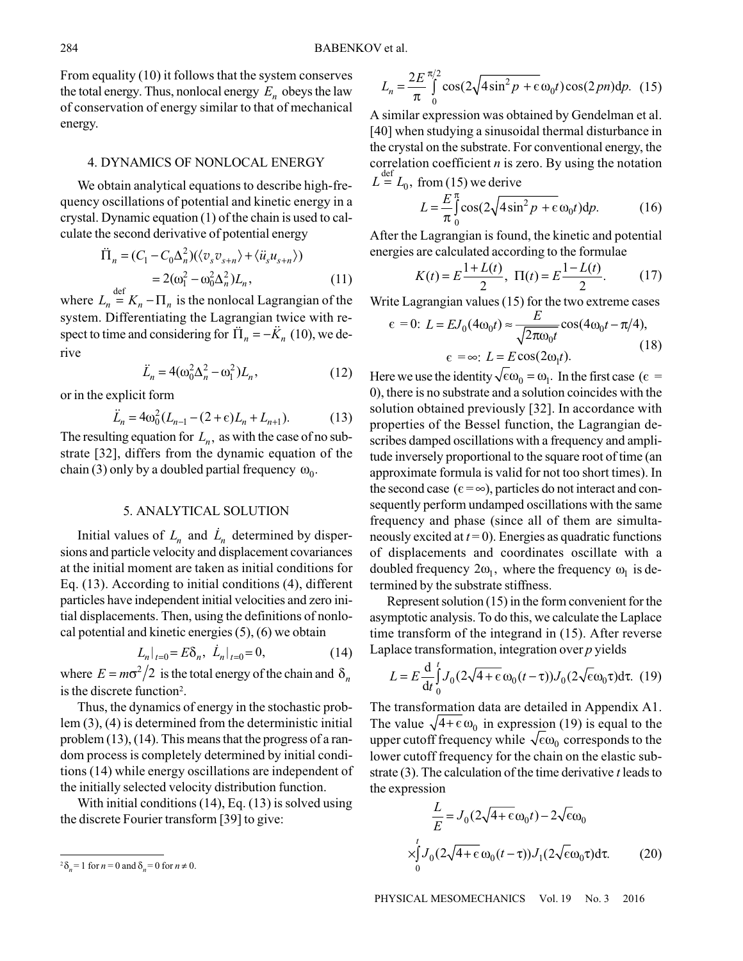From equality  $(10)$  it follows that the system conserves the total energy. Thus, nonlocal energy  $E_n$  obeys the law of conservation of energy similar to that of mechanical energy.

#### **4. DYNAMICS OF NONLOCAL ENERGY**

We obtain analytical equations to describe high-frequency oscillations of potential and kinetic energy in a crystal. Dynamic equation (1) of the chain is used to calculate the second derivative of potential energy

$$
\Pi_n = (C_1 - C_0 \Delta_n^2) (\langle v_s v_{s+n} \rangle + \langle \ddot{u}_s u_{s+n} \rangle)
$$
  
=  $2(\omega_1^2 - \omega_0^2 \Delta_n^2) L_n,$  (11)

where  $L_n = K_n - \Pi_n$  is the nonlocal Lagrangian of the system. Differentiating the Lagrangian twice with respect to time and considering for  $\ddot{\Pi}_n = -\ddot{K}_n$  (10), we derive

$$
\ddot{L}_n = 4(\omega_0^2 \Delta_n^2 - \omega_1^2) L_n,\tag{12}
$$

or in the explicit form

$$
\ddot{L}_n = 4\omega_0^2 (L_{n-1} - (2 + \epsilon)L_n + L_{n+1}).
$$
 (13)

The resulting equation for  $L_n$ , as with the case of no substrate [32], differs from the dynamic equation of the chain (3) only by a doubled partial frequency  $\omega_0$ .

## **5. ANALYTICAL SOLUTION**

Initial values of  $L_n$  and  $\dot{L}_n$  determined by dispersions and particle velocity and displacement covariances at the initial moment are taken as initial conditions for Eq. (13). According to initial conditions (4), different particles have independent initial velocities and zero initial displacements. Then, using the definitions of nonlocal potential and kinetic energies  $(5)$ ,  $(6)$  we obtain

$$
L_n|_{t=0} = E\delta_n, \dot{L}_n|_{t=0} = 0,\tag{14}
$$

where  $E = m\sigma^2/2$  is the total energy of the chain and  $\delta_n$ is the discrete function<sup>2</sup>.

Thus, the dynamics of energy in the stochastic prob $lcm(3)$ , (4) is determined from the deterministic initial problem  $(13)$ ,  $(14)$ . This means that the progress of a random process is completely determined by initial conditions (14) while energy oscillations are independent of the initially selected velocity distribution function.

With initial conditions  $(14)$ , Eq.  $(13)$  is solved using the discrete Fourier transform [39] to give:

$$
L_n = \frac{2E}{\pi} \int_0^{\pi/2} \cos(2\sqrt{4\sin^2 p + \epsilon} \omega_0 t) \cos(2pn) dp. \tag{15}
$$

A similar expression was obtained by Gendelman et al. [40] when studying a sinusoidal thermal disturbance in the crystal on the substrate. For conventional energy, the correlation coefficient  $n$  is zero. By using the notation  $L = L_0$ , from (15) we derive

$$
L = \frac{E}{\pi} \int_{0}^{\pi} \cos(2\sqrt{4\sin^2 p} + \epsilon \omega_0 t) dp.
$$
 (16)

After the Lagrangian is found, the kinetic and potential energies are calculated according to the formulae

$$
K(t) = E \frac{1 + L(t)}{2}, \ \Pi(t) = E \frac{1 - L(t)}{2}.
$$
 (17)

Write Lagrangian values (15) for the two extreme cases

$$
\epsilon = 0: L = EJ_0(4\omega_0 t) \approx \frac{E}{\sqrt{2\pi\omega_0 t}} \cos(4\omega_0 t - \pi/4),
$$
  
\n
$$
\epsilon = \infty: L = E \cos(2\omega_0 t).
$$
 (18)

Here we use the identity  $\sqrt{\epsilon}\omega_0 = \omega_1$ . In the first case ( $\epsilon$  = 0), there is no substrate and a solution coincides with the solution obtained previously [32]. In accordance with properties of the Bessel function, the Lagrangian describes damped oscillations with a frequency and amplitude inversely proportional to the square root of time (an approximate formula is valid for not too short times). In the second case ( $\epsilon = \infty$ ), particles do not interact and consequently perform undamped oscillations with the same frequency and phase (since all of them are simultaneously excited at  $t=0$ ). Energies as quadratic functions of displacements and coordinates oscillate with a doubled frequency  $2\omega_1$ , where the frequency  $\omega_1$  is determined by the substrate stiffness.

Represent solution  $(15)$  in the form convenient for the asymptotic analysis. To do this, we calculate the Laplace time transform of the integrand in (15). After reverse Laplace transformation, integration over  $p$  yields

$$
L = E \frac{d}{dt} \int_0^t J_0(2\sqrt{4 + \epsilon} \omega_0(t - \tau)) J_0(2\sqrt{\epsilon} \omega_0 \tau) d\tau.
$$
 (19)

The transformation data are detailed in Appendix A1. The value  $\sqrt{4+\epsilon} \omega_0$  in expression (19) is equal to the upper cutoff frequency while  $\sqrt{\epsilon \omega_0}$  corresponds to the lower cutoff frequency for the chain on the elastic substrate (3). The calculation of the time derivative t leads to the expression

$$
\frac{L}{E} = J_0 (2\sqrt{4 + \epsilon} \omega_0 t) - 2\sqrt{\epsilon} \omega_0
$$
\n
$$
\times \int_0^t J_0 (2\sqrt{4 + \epsilon} \omega_0 (t - \tau)) J_1 (2\sqrt{\epsilon} \omega_0 \tau) d\tau. \tag{20}
$$

PHYSICAL MESOMECHANICS Vol. 19 No. 3 2016

 $^{2}\delta_{n}$  = 1 for  $n = 0$  and  $\delta_{n} = 0$  for  $n \neq 0$ .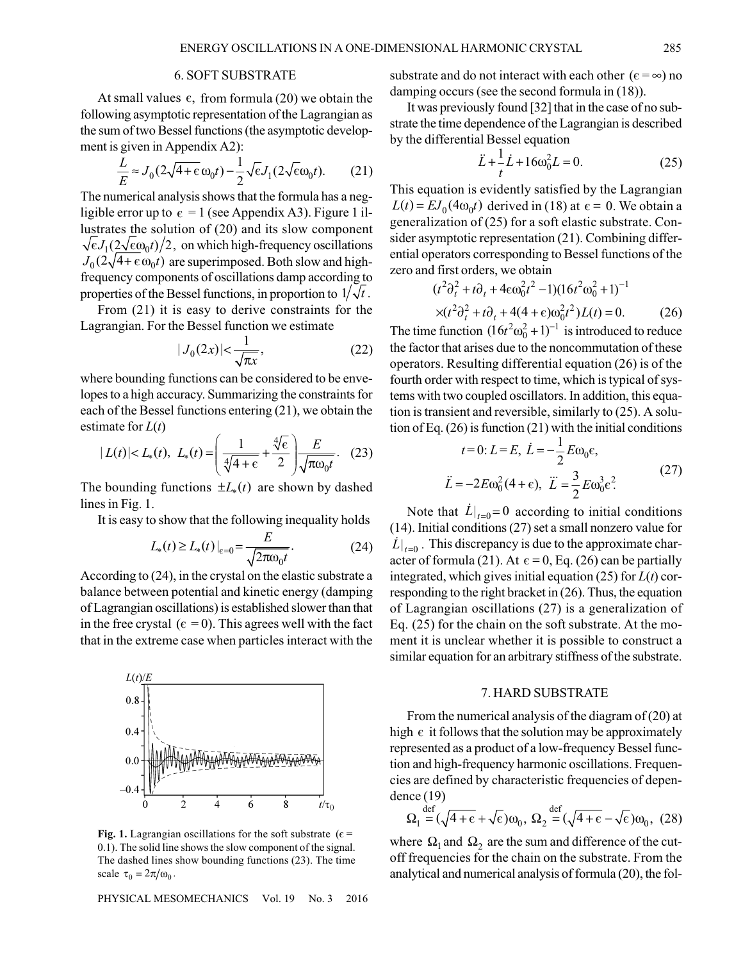## **6. SOFT SUBSTRATE**

At small values  $\epsilon$ , from formula (20) we obtain the following asymptotic representation of the Lagrangian as the sum of two Bessel functions (the asymptotic development is given in Appendix A2):

$$
\frac{L}{E} \approx J_0 (2\sqrt{4+\epsilon} \omega_0 t) - \frac{1}{2} \sqrt{\epsilon} J_1 (2\sqrt{\epsilon} \omega_0 t). \tag{21}
$$

The numerical analysis shows that the formula has a negligible error up to  $\epsilon = 1$  (see Appendix A3). Figure 1 illustrates the solution of (20) and its slow component  $\sqrt{\epsilon}J_1(2\sqrt{\epsilon}\omega_0 t)/2$ , on which high-frequency oscillations  $J_0(2\sqrt{4} + \epsilon \omega_0 t)$  are superimposed. Both slow and highfrequency components of oscillations damp according to properties of the Bessel functions, in proportion to  $1/\sqrt{t}$ .

From  $(21)$  it is easy to derive constraints for the Lagrangian. For the Bessel function we estimate

$$
|J_0(2x)| < \frac{1}{\sqrt{\pi x}},\tag{22}
$$

where bounding functions can be considered to be envelopes to a high accuracy. Summarizing the constraints for each of the Bessel functions entering (21), we obtain the estimate for  $L(t)$ 

$$
|L(t)| < L_*(t), \ L_*(t) = \left(\frac{1}{\sqrt[4]{4+\epsilon}} + \frac{\sqrt[4]{\epsilon}}{2}\right) \frac{E}{\sqrt{\pi \omega_0 t}}. \quad (23)
$$

The bounding functions  $\pm L_*(t)$  are shown by dashed lines in Fig. 1.

It is easy to show that the following inequality holds

$$
L_*(t) \ge L_*(t)|_{\epsilon=0} = \frac{E}{\sqrt{2\pi\omega_0 t}}.\tag{24}
$$

According to  $(24)$ , in the crystal on the elastic substrate a balance between potential and kinetic energy (damping of Lagrangian oscillations) is established slower than that in the free crystal ( $\epsilon = 0$ ). This agrees well with the fact that in the extreme case when particles interact with the



Fig. 1. Lagrangian oscillations for the soft substrate ( $\epsilon$  = 0.1). The solid line shows the slow component of the signal. The dashed lines show bounding functions (23). The time scale  $\tau_0 = 2\pi/\omega_0$ .

PHYSICAL MESOMECHANICS Vol. 19  $\sqrt{2}$ 2016 substrate and do not interact with each other ( $\epsilon = \infty$ ) no damping occurs (see the second formula in  $(18)$ ).

It was previously found [32] that in the case of no substrate the time dependence of the Lagrangian is described by the differential Bessel equation

$$
\ddot{L} + \frac{1}{t}\dot{L} + 16\omega_0^2 L = 0.
$$
 (25)

This equation is evidently satisfied by the Lagrangian  $L(t) = E J_0(4\omega_0 t)$  derived in (18) at  $\epsilon = 0$ . We obtain a generalization of (25) for a soft elastic substrate. Consider asymptotic representation (21). Combining differential operators corresponding to Bessel functions of the zero and first orders, we obtain

$$
(t2 \partial_t^2 + t \partial_t + 4\epsilon \omega_0^2 t^2 - 1)(16t^2 \omega_0^2 + 1)^{-1}
$$
  
× $(t2 \partial_t^2 + t \partial_t + 4(4 + \epsilon) \omega_0^2 t^2) L(t) = 0.$  (26)

The time function  $(16t^2\omega_0^2 + 1)^{-1}$  is introduced to reduce the factor that arises due to the noncommutation of these operators. Resulting differential equation  $(26)$  is of the fourth order with respect to time, which is typical of systems with two coupled oscillators. In addition, this equation is transient and reversible, similarly to (25). A solution of Eq.  $(26)$  is function  $(21)$  with the initial conditions

$$
t=0; L=E, \dot{L}=-\frac{1}{2}E\omega_0 \epsilon,
$$
  

$$
\ddot{L}=-2E\omega_0^2(4+\epsilon), \quad \dddot{L}=\frac{3}{2}E\omega_0^3\epsilon^2.
$$
 (27)

Note that  $\dot{L}|_{t=0} = 0$  according to initial conditions  $(14)$ . Initial conditions  $(27)$  set a small nonzero value for  $\left.L\right|_{t=0}$ . This discrepancy is due to the approximate character of formula (21). At  $\epsilon = 0$ , Eq. (26) can be partially integrated, which gives initial equation (25) for  $L(t)$  corresponding to the right bracket in  $(26)$ . Thus, the equation of Lagrangian oscillations (27) is a generalization of Eq.  $(25)$  for the chain on the soft substrate. At the moment it is unclear whether it is possible to construct a similar equation for an arbitrary stiffness of the substrate.

## 7. HARD SUBSTRATE

From the numerical analysis of the diagram of  $(20)$  at high  $\epsilon$  it follows that the solution may be approximately represented as a product of a low-frequency Bessel function and high-frequency harmonic oscillations. Frequencies are defined by characteristic frequencies of depen $dence (19)$ 

$$
\Omega_1 \stackrel{\text{def}}{=} (\sqrt{4 + \epsilon} + \sqrt{\epsilon}) \omega_0, \ \Omega_2 \stackrel{\text{def}}{=} (\sqrt{4 + \epsilon} - \sqrt{\epsilon}) \omega_0, \ (28)
$$

where  $\Omega_1$  and  $\Omega_2$  are the sum and difference of the cutoff frequencies for the chain on the substrate. From the analytical and numerical analysis of formula (20), the fol-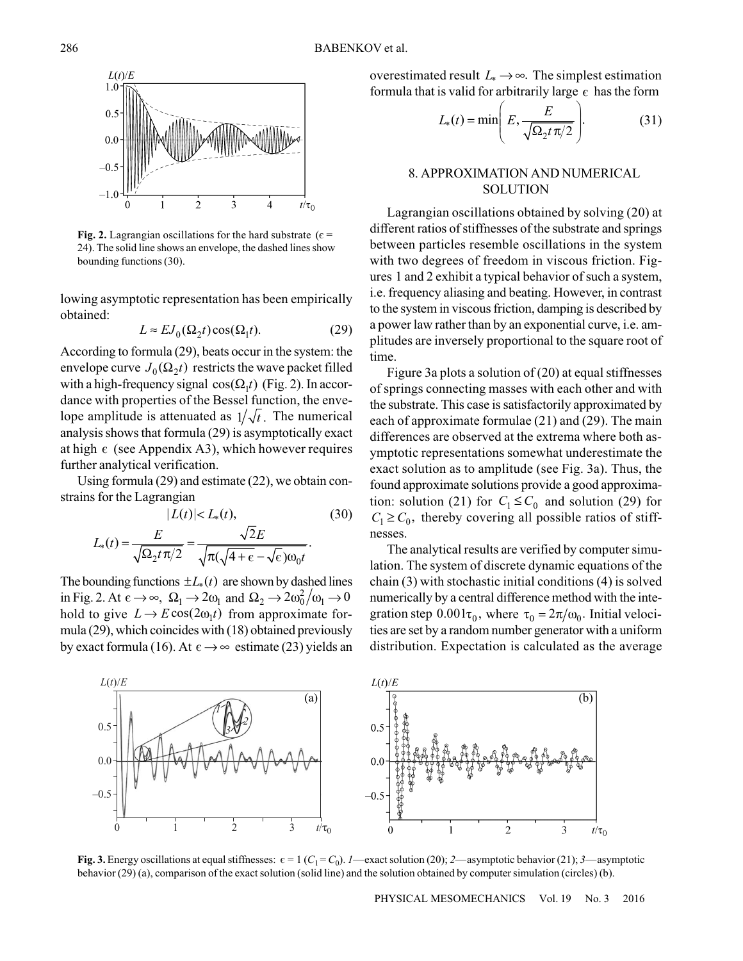

Fig. 2. Lagrangian oscillations for the hard substrate ( $\epsilon$  = 24). The solid line shows an envelope, the dashed lines show bounding functions (30).

lowing asymptotic representation has been empirically obtained:

$$
L \approx E J_0(\Omega_2 t) \cos(\Omega_1 t). \tag{29}
$$

According to formula  $(29)$ , beats occur in the system: the envelope curve  $J_0(\Omega_2 t)$  restricts the wave packet filled with a high-frequency signal  $cos(\Omega_1 t)$  (Fig. 2). In accordance with properties of the Bessel function, the envelope amplitude is attenuated as  $1/\sqrt{t}$ . The numerical analysis shows that formula (29) is asymptotically exact at high  $\epsilon$  (see Appendix A3), which however requires further analytical verification.

Using formula  $(29)$  and estimate  $(22)$ , we obtain constrains for the Lagrangian

$$
|L(t)| < L_*(t),\tag{30}
$$
\n
$$
L_*(t) = \frac{E}{\sqrt{\Omega_2 t \pi/2}} = \frac{\sqrt{2}E}{\sqrt{\pi(\sqrt{4 + \epsilon} - \sqrt{\epsilon})\omega_0 t}}.
$$

The bounding functions  $\pm L_*(t)$  are shown by dashed lines in Fig. 2. At  $\epsilon \to \infty$ ,  $\Omega_1 \to 2\omega_1$  and  $\Omega_2 \to 2\omega_0^2/\omega_1 \to 0$ hold to give  $L \to E \cos(2\omega_1 t)$  from approximate formula (29), which coincides with (18) obtained previously by exact formula (16). At  $\epsilon \rightarrow \infty$  estimate (23) yields an overestimated result  $L_* \rightarrow \infty$ . The simplest estimation formula that is valid for arbitrarily large  $\epsilon$  has the form

$$
L_*(t) = \min\left(E, \frac{E}{\sqrt{\Omega_2 t \pi/2}}\right).
$$
 (31)

## 8. APPROXIMATION AND NUMERICAL **SOLUTION**

Lagrangian oscillations obtained by solving (20) at different ratios of stiffnesses of the substrate and springs between particles resemble oscillations in the system with two degrees of freedom in viscous friction. Figures 1 and 2 exhibit a typical behavior of such a system, i.e. frequency aliasing and beating. However, in contrast to the system in viscous friction, damping is described by a power law rather than by an exponential curve, *i.e.* amplitudes are inversely proportional to the square root of time.

Figure 3a plots a solution of  $(20)$  at equal stiffnesses of springs connecting masses with each other and with the substrate. This case is satisfactorily approximated by each of approximate formulae (21) and (29). The main differences are observed at the extrema where both asymptotic representations somewhat underestimate the exact solution as to amplitude (see Fig. 3a). Thus, the found approximate solutions provide a good approximation: solution (21) for  $C_1 \leq C_0$  and solution (29) for  $C_1 \ge C_0$ , thereby covering all possible ratios of stiffnesses.

The analytical results are verified by computer simulation. The system of discrete dynamic equations of the chain  $(3)$  with stochastic initial conditions  $(4)$  is solved numerically by a central difference method with the integration step  $0.001\tau_0$ , where  $\tau_0 = 2\pi/\omega_0$ . Initial velocities are set by a random number generator with a uniform distribution. Expectation is calculated as the average



Fig. 3. Energy oscillations at equal stiffnesses:  $\epsilon = 1$  ( $C_1 = C_0$ ). 1—exact solution (20); 2—asymptotic behavior (21); 3—asymptotic behavior (29) (a), comparison of the exact solution (solid line) and the solution obtained by computer simulation (circles) (b).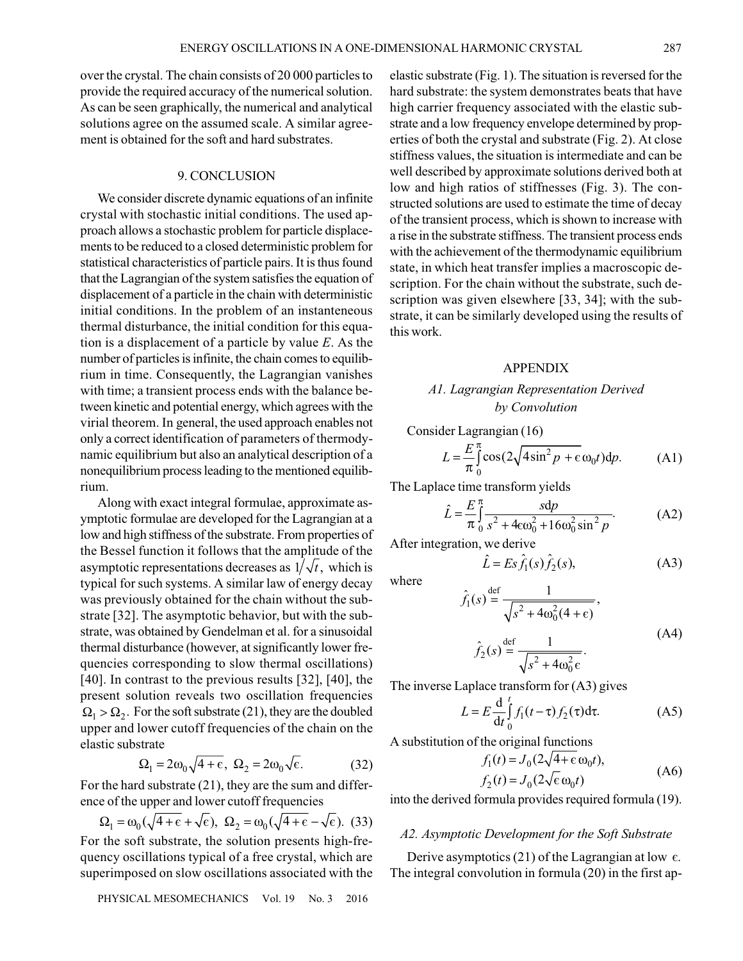over the crystal. The chain consists of 20 000 particles to provide the required accuracy of the numerical solution. As can be seen graphically, the numerical and analytical solutions agree on the assumed scale. A similar agreement is obtained for the soft and hard substrates.

## 9. CONCLUSION

We consider discrete dynamic equations of an infinite crystal with stochastic initial conditions. The used approach allows a stochastic problem for particle displacements to be reduced to a closed deterministic problem for statistical characteristics of particle pairs. It is thus found that the Lagrangian of the system satisfies the equation of displacement of a particle in the chain with deterministic initial conditions. In the problem of an instanteneous thermal disturbance, the initial condition for this equation is a displacement of a particle by value  $E$ . As the number of particles is infinite, the chain comes to equilibrium in time. Consequently, the Lagrangian vanishes with time; a transient process ends with the balance between kinetic and potential energy, which agrees with the virial theorem. In general, the used approach enables not only a correct identification of parameters of thermodynamic equilibrium but also an analytical description of a nonequilibrium process leading to the mentioned equilibrium.

Along with exact integral formulae, approximate asymptotic formulae are developed for the Lagrangian at a low and high stiffness of the substrate. From properties of the Bessel function it follows that the amplitude of the asymptotic representations decreases as  $1/\sqrt{t}$ , which is typical for such systems. A similar law of energy decay was previously obtained for the chain without the substrate [32]. The asymptotic behavior, but with the substrate, was obtained by Gendelman et al. for a sinusoidal thermal disturbance (however, at significantly lower frequencies corresponding to slow thermal oscillations) [40]. In contrast to the previous results [32], [40], the present solution reveals two oscillation frequencies  $\Omega_1 > \Omega_2$ . For the soft substrate (21), they are the doubled upper and lower cutoff frequencies of the chain on the elastic substrate

$$
\Omega_1 = 2\omega_0 \sqrt{4 + \epsilon}, \ \Omega_2 = 2\omega_0 \sqrt{\epsilon}. \tag{32}
$$

For the hard substrate  $(21)$ , they are the sum and difference of the upper and lower cutoff frequencies

$$
\Omega_1 = \omega_0(\sqrt{4+\epsilon} + \sqrt{\epsilon}), \ \Omega_2 = \omega_0(\sqrt{4+\epsilon} - \sqrt{\epsilon}). \tag{33}
$$

For the soft substrate, the solution presents high-frequency oscillations typical of a free crystal, which are superimposed on slow oscillations associated with the

PHYSICAL MESOMECHANICS Vol. 19 No. 3 2016

elastic substrate (Fig. 1). The situation is reversed for the hard substrate: the system demonstrates beats that have high carrier frequency associated with the elastic substrate and a low frequency envelope determined by properties of both the crystal and substrate (Fig. 2). At close stiffness values, the situation is intermediate and can be well described by approximate solutions derived both at low and high ratios of stiffnesses (Fig. 3). The constructed solutions are used to estimate the time of decay of the transient process, which is shown to increase with a rise in the substrate stiffness. The transient process ends with the achievement of the thermodynamic equilibrium state, in which heat transfer implies a macroscopic description. For the chain without the substrate, such description was given elsewhere [33, 34]; with the substrate, it can be similarly developed using the results of this work.

## **APPENDIX**

## A1. Lagrangian Representation Derived by Convolution

Consider Lagrangian (16)

$$
L = \frac{E}{\pi} \int_{0}^{\pi} \cos(2\sqrt{4\sin^2 p + \epsilon} \omega_0 t) dp.
$$
 (A1)

The Laplace time transform yields

$$
\hat{L} = \frac{E}{\pi} \int_{0}^{\pi} \frac{sdp}{s^2 + 4\epsilon \omega_0^2 + 16\omega_0^2 \sin^2 p}.
$$
 (A2)

After integration, we derive

$$
\hat{L} = Es\hat{f}_1(s)\hat{f}_2(s),\tag{A3}
$$

where

$$
\hat{f}_1(s) \stackrel{\text{def}}{=} \frac{1}{\sqrt{s^2 + 4\omega_0^2(4 + \epsilon)}},
$$
\n
$$
\hat{f}_2(s) \stackrel{\text{def}}{=} \frac{1}{\sqrt{s^2 + 4\omega_0^2 \epsilon}}.
$$
\n(A4)

The inverse Laplace transform for  $(A3)$  gives

$$
L = E \frac{d}{dt} \int_{0}^{t} f_1(t - \tau) f_2(\tau) d\tau.
$$
 (A5)

A substitution of the original functions

$$
f_1(t) = J_0(2\sqrt{4} + \varepsilon \omega_0 t),
$$
  
\n
$$
f_2(t) = J_0(2\sqrt{\varepsilon} \omega_0 t)
$$
 (A6)

into the derived formula provides required formula (19).

## A2. Asymptotic Development for the Soft Substrate

Derive asymptotics (21) of the Lagrangian at low  $\epsilon$ . The integral convolution in formula (20) in the first ap-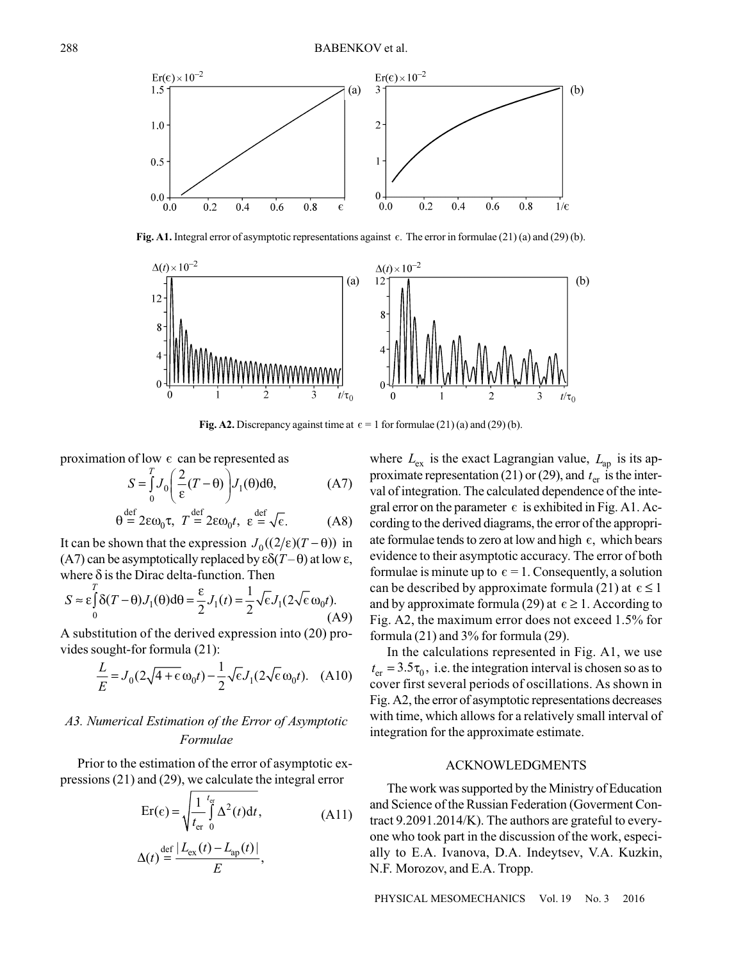

Fig. A1. Integral error of asymptotic representations against  $\epsilon$ . The error in formulae (21) (a) and (29) (b).



Fig. A2. Discrepancy against time at  $\epsilon = 1$  for formulae (21) (a) and (29) (b).

proximation of low  $\epsilon$  can be represented as

$$
S = \int_{0}^{T} J_0 \left( \frac{2}{\varepsilon} (T - \theta) \right) J_1(\theta) d\theta, \tag{A7}
$$

$$
\theta \stackrel{\text{def}}{=} 2\varepsilon \omega_0 \tau, \ T \stackrel{\text{def}}{=} 2\varepsilon \omega_0 t, \ \varepsilon \stackrel{\text{def}}{=} \sqrt{\varepsilon}. \tag{A8}
$$

It can be shown that the expression  $J_0((2/\epsilon)(T-\theta))$  in (A7) can be asymptotically replaced by  $\epsilon \delta(T-\theta)$  at low  $\epsilon$ , where  $\delta$  is the Dirac delta-function. Then

$$
S \approx \varepsilon \int_{0}^{T} \delta(T - \theta) J_{1}(\theta) d\theta = \frac{\varepsilon}{2} J_{1}(t) = \frac{1}{2} \sqrt{\varepsilon} J_{1}(2 \sqrt{\varepsilon} \omega_{0} t).
$$
\n(A9)

A substitution of the derived expression into (20) provides sought-for formula (21):

$$
\frac{L}{E} = J_0(2\sqrt{4+\epsilon}\omega_0 t) - \frac{1}{2}\sqrt{\epsilon}J_1(2\sqrt{\epsilon}\omega_0 t). \quad (A10)
$$

## A3. Numerical Estimation of the Error of Asymptotic Formulae

Prior to the estimation of the error of asymptotic expressions  $(21)$  and  $(29)$ , we calculate the integral error

$$
\text{Er}(\epsilon) = \sqrt{\frac{1}{t_{\text{er}}} \int_{0}^{t_{\text{er}}} \Delta^{2}(t) dt},
$$
\n
$$
\Delta(t) \stackrel{\text{def}}{=} \frac{|L_{\text{ex}}(t) - L_{\text{ap}}(t)|}{E},
$$
\n(A11)

where  $L_{\text{ex}}$  is the exact Lagrangian value,  $L_{\text{ap}}$  is its approximate representation (21) or (29), and  $t_{\rm er}$  is the interval of integration. The calculated dependence of the integral error on the parameter  $\epsilon$  is exhibited in Fig. A1. According to the derived diagrams, the error of the appropriate formulae tends to zero at low and high  $\epsilon$ , which bears evidence to their asymptotic accuracy. The error of both formulae is minute up to  $\epsilon = 1$ . Consequently, a solution can be described by approximate formula (21) at  $\epsilon \le 1$ and by approximate formula (29) at  $\epsilon \geq 1$ . According to Fig. A2, the maximum error does not exceed 1.5% for formula  $(21)$  and  $3\%$  for formula  $(29)$ .

In the calculations represented in Fig. A1, we use  $t_{\rm er} = 3.5\tau_0$ , i.e. the integration interval is chosen so as to cover first several periods of oscillations. As shown in Fig. A2, the error of asymptotic representations decreases with time, which allows for a relatively small interval of integration for the approximate estimate.

#### **ACKNOWLEDGMENTS**

The work was supported by the Ministry of Education and Science of the Russian Federation (Governent Contract 9.2091.2014/K). The authors are grateful to everyone who took part in the discussion of the work, especially to E.A. Ivanova, D.A. Indeytsev, V.A. Kuzkin, N.F. Morozov, and E.A. Tropp.

PHYSICAL MESOMECHANICS Vol. 19  $\mathrm{No}$  3 2016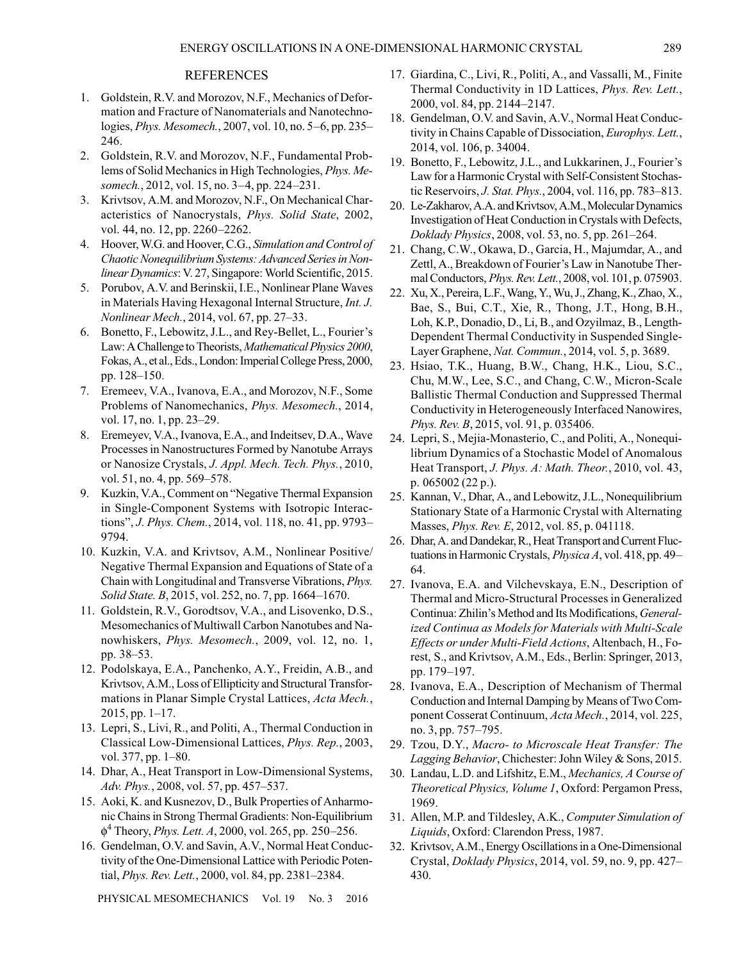## **REFERENCES**

- 1. Goldstein, R.V. and Morozov, N.F., Mechanics of Deformation and Fracture of Nanomaterials and Nanotechnologies, *Phys. Mesomech.*, 2007, vol. 10, no. 5–6, pp. 235– 246.
- 2. Goldstein, R.V. and Morozov, N.F., Fundamental Problems of Solid Mechanics in High Technologies, Phys. Mesomech., 2012, vol. 15, no. 3–4, pp. 224–231.
- 3. Krivtsov, A.M. and Morozov, N.F., On Mechanical Characteristics of Nanocrystals, Phys. Solid State, 2002, vol. 44, no. 12, pp. 2260–2262.
- 4. Hoover, W.G. and Hoover, C.G., Simulation and Control of Chaotic Nonequilibrium Systems: Advanced Series in Nonlinear Dynamics: V. 27, Singapore: World Scientific, 2015.
- 5. Porubov, A.V. and Berinskii, I.E., Nonlinear Plane Waves in Materials Having Hexagonal Internal Structure, Int. J. Nonlinear Mech., 2014, vol. 67, pp. 27-33.
- 6. Bonetto, F., Lebowitz, J.L., and Rey-Bellet, L., Fourier's Law: A Challenge to Theorists, Mathematical Physics 2000, Fokas, A., et al., Eds., London: Imperial College Press, 2000, pp. 128-150.
- 7. Eremeev, V.A., Ivanova, E.A., and Morozov, N.F., Some Problems of Nanomechanics, Phys. Mesomech., 2014, vol. 17, no. 1, pp. 23-29.
- 8. Eremeyev, V.A., Ivanova, E.A., and Indeitsev, D.A., Wave Processes in Nanostructures Formed by Nanotube Arrays or Nanosize Crystals, J. Appl. Mech. Tech. Phys., 2010, vol. 51, no. 4, pp. 569–578.
- 9. Kuzkin, V.A., Comment on "Negative Thermal Expansion in Single-Component Systems with Isotropic Interactions", J. Phys. Chem., 2014, vol. 118, no. 41, pp. 9793-9794.
- 10. Kuzkin, V.A. and Krivtsov, A.M., Nonlinear Positive/ Negative Thermal Expansion and Equations of State of a Chain with Longitudinal and Transverse Vibrations, Phys. Solid State. B, 2015, vol. 252, no. 7, pp. 1664-1670.
- 11. Goldstein, R.V., Gorodtsov, V.A., and Lisovenko, D.S., Mesomechanics of Multiwall Carbon Nanotubes and Nanowhiskers, Phys. Mesomech., 2009, vol. 12, no. 1, pp. 38–53.
- 12. Podolskaya, E.A., Panchenko, A.Y., Freidin, A.B., and Krivtsov, A.M., Loss of Ellipticity and Structural Transformations in Planar Simple Crystal Lattices, Acta Mech.,  $2015$ , pp. 1-17.
- 13. Lepri, S., Livi, R., and Politi, A., Thermal Conduction in Classical Low-Dimensional Lattices, *Phys. Rep.*, 2003, vol. 377, pp. 1–80.
- 14. Dhar, A., Heat Transport in Low-Dimensional Systems, Adv. Phys., 2008, vol. 57, pp. 457–537.
- 15. Aoki, K. and Kusnezov, D., Bulk Properties of Anharmonic Chains in Strong Thermal Gradients: Non-Equilibrium  $\phi^4$  Theory, *Phys. Lett. A*, 2000, vol. 265, pp. 250–256.
- 16. Gendelman, O.V. and Savin, A.V., Normal Heat Conductivity of the One-Dimensional Lattice with Periodic Potential, Phys. Rev. Lett., 2000, vol. 84, pp. 2381-2384.

PHYSICAL MESOMECHANICS Vol. 19 No. 3 2016

- 17. Giardina, C., Livi, R., Politi, A., and Vassalli, M., Finite Thermal Conductivity in 1D Lattices, *Phys. Rev. Lett.*, 2000, vol. 84, pp. 2144-2147.
- 18. Gendelman, O.V. and Savin, A.V., Normal Heat Conductivity in Chains Capable of Dissociation, Europhys. Lett., 2014, vol. 106, p. 34004.
- 19. Bonetto, F., Lebowitz, J.L., and Lukkarinen, J., Fourier's Law for a Harmonic Crystal with Self-Consistent Stochastic Reservoirs, J. Stat. Phys., 2004, vol. 116, pp. 783-813.
- 20. Le-Zakharov, A.A. and Krivtsov, A.M., Molecular Dynamics Investigation of Heat Conduction in Crystals with Defects, Doklady Physics, 2008, vol. 53, no. 5, pp. 261–264.
- 21. Chang, C.W., Okawa, D., Garcia, H., Majumdar, A., and Zettl, A., Breakdown of Fourier's Law in Nanotube Thermal Conductors, *Phys. Rev. Lett.*, 2008, vol. 101, p. 075903.
- 22. Xu, X., Pereira, L.F., Wang, Y., Wu, J., Zhang, K., Zhao, X., Bae, S., Bui, C.T., Xie, R., Thong, J.T., Hong, B.H., Loh, K.P., Donadio, D., Li, B., and Ozyilmaz, B., Length-Dependent Thermal Conductivity in Suspended Single-Layer Graphene, Nat. Commun., 2014, vol. 5, p. 3689.
- 23. Hsiao, T.K., Huang, B.W., Chang, H.K., Liou, S.C., Chu, M.W., Lee, S.C., and Chang, C.W., Micron-Scale Ballistic Thermal Conduction and Suppressed Thermal Conductivity in Heterogeneously Interfaced Nanowires, Phys. Rev. B, 2015, vol. 91, p. 035406.
- 24. Lepri, S., Mejia-Monasterio, C., and Politi, A., Nonequilibrium Dynamics of a Stochastic Model of Anomalous Heat Transport, J. Phys. A: Math. Theor., 2010, vol. 43,  $p. 065002(22 p.).$
- 25. Kannan, V., Dhar, A., and Lebowitz, J.L., Nonequilibrium Stationary State of a Harmonic Crystal with Alternating Masses, *Phys. Rev. E*, 2012, vol. 85, p. 041118.
- 26. Dhar, A. and Dandekar, R., Heat Transport and Current Fluctuations in Harmonic Crystals, *Physica A*, vol. 418, pp. 49– 64.
- 27. Ivanova, E.A. and Vilchevskaya, E.N., Description of Thermal and Micro-Structural Processes in Generalized Continua: Zhilin's Method and Its Modifications, Generalized Continua as Models for Materials with Multi-Scale Effects or under Multi-Field Actions, Altenbach, H., Forest, S., and Krivtsov, A.M., Eds., Berlin: Springer, 2013, pp. 179-197.
- 28. Ivanova, E.A., Description of Mechanism of Thermal Conduction and Internal Damping by Means of Two Component Cosserat Continuum, Acta Mech., 2014, vol. 225, no. 3, pp. 757–795.
- 29. Tzou, D.Y., Macro- to Microscale Heat Transfer: The Lagging Behavior, Chichester: John Wiley & Sons, 2015.
- 30. Landau, L.D. and Lifshitz, E.M., Mechanics, A Course of Theoretical Physics, Volume 1, Oxford: Pergamon Press, 1969.
- 31. Allen, M.P. and Tildesley, A.K., Computer Simulation of Liquids, Oxford: Clarendon Press, 1987.
- 32. Krivtsov, A.M., Energy Oscillations in a One-Dimensional Crystal, *Doklady Physics*, 2014, vol. 59, no. 9, pp. 427– 430.